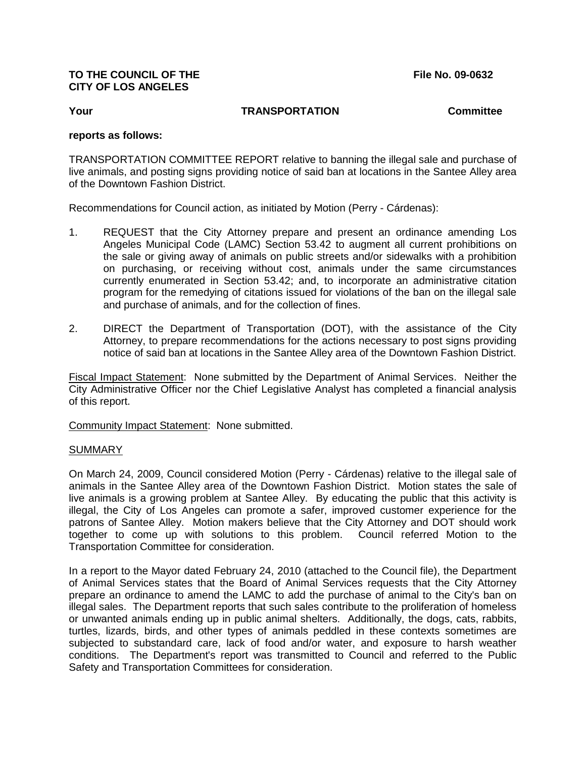## **TO THE COUNCIL OF THE File No. 09-0632 CITY OF LOS ANGELES**

## **Your TRANSPORTATION Committee**

## **reports as follows:**

TRANSPORTATION COMMITTEE REPORT relative to banning the illegal sale and purchase of live animals, and posting signs providing notice of said ban at locations in the Santee Alley area of the Downtown Fashion District.

Recommendations for Council action, as initiated by Motion (Perry - Cárdenas):

- 1. REQUEST that the City Attorney prepare and present an ordinance amending Los Angeles Municipal Code (LAMC) Section 53.42 to augment all current prohibitions on the sale or giving away of animals on public streets and/or sidewalks with a prohibition on purchasing, or receiving without cost, animals under the same circumstances currently enumerated in Section 53.42; and, to incorporate an administrative citation program for the remedying of citations issued for violations of the ban on the illegal sale and purchase of animals, and for the collection of fines.
- 2. DIRECT the Department of Transportation (DOT), with the assistance of the City Attorney, to prepare recommendations for the actions necessary to post signs providing notice of said ban at locations in the Santee Alley area of the Downtown Fashion District.

Fiscal Impact Statement: None submitted by the Department of Animal Services. Neither the City Administrative Officer nor the Chief Legislative Analyst has completed a financial analysis of this report.

Community Impact Statement: None submitted.

## SUMMARY

On March 24, 2009, Council considered Motion (Perry - Cárdenas) relative to the illegal sale of animals in the Santee Alley area of the Downtown Fashion District. Motion states the sale of live animals is a growing problem at Santee Alley. By educating the public that this activity is illegal, the City of Los Angeles can promote a safer, improved customer experience for the patrons of Santee Alley. Motion makers believe that the City Attorney and DOT should work together to come up with solutions to this problem. Council referred Motion to the Transportation Committee for consideration.

In a report to the Mayor dated February 24, 2010 (attached to the Council file), the Department of Animal Services states that the Board of Animal Services requests that the City Attorney prepare an ordinance to amend the LAMC to add the purchase of animal to the City's ban on illegal sales. The Department reports that such sales contribute to the proliferation of homeless or unwanted animals ending up in public animal shelters. Additionally, the dogs, cats, rabbits, turtles, lizards, birds, and other types of animals peddled in these contexts sometimes are subjected to substandard care, lack of food and/or water, and exposure to harsh weather conditions. The Department's report was transmitted to Council and referred to the Public Safety and Transportation Committees for consideration.